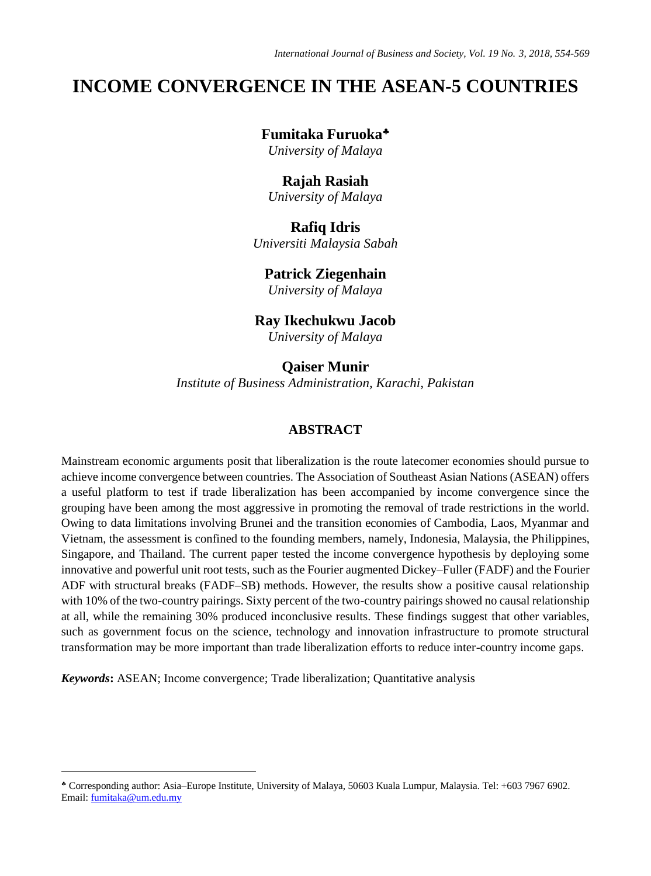# **INCOME CONVERGENCE IN THE ASEAN-5 COUNTRIES**

# **Fumitaka Furuoka**

*University of Malaya*

#### **Rajah Rasiah**

*University of Malaya*

## **Rafiq Idris**

*Universiti Malaysia Sabah*

# **Patrick Ziegenhain**

*University of Malaya*

## **Ray Ikechukwu Jacob**

*University of Malaya*

**Qaiser Munir** *Institute of Business Administration, Karachi, Pakistan*

## **ABSTRACT**

Mainstream economic arguments posit that liberalization is the route latecomer economies should pursue to achieve income convergence between countries. The Association of Southeast Asian Nations (ASEAN) offers a useful platform to test if trade liberalization has been accompanied by income convergence since the grouping have been among the most aggressive in promoting the removal of trade restrictions in the world. Owing to data limitations involving Brunei and the transition economies of Cambodia, Laos, Myanmar and Vietnam, the assessment is confined to the founding members, namely, Indonesia, Malaysia, the Philippines, Singapore, and Thailand. The current paper tested the income convergence hypothesis by deploying some innovative and powerful unit root tests, such as the Fourier augmented Dickey–Fuller (FADF) and the Fourier ADF with structural breaks (FADF–SB) methods. However, the results show a positive causal relationship with 10% of the two-country pairings. Sixty percent of the two-country pairings showed no causal relationship at all, while the remaining 30% produced inconclusive results. These findings suggest that other variables, such as government focus on the science, technology and innovation infrastructure to promote structural transformation may be more important than trade liberalization efforts to reduce inter-country income gaps.

*Keywords***:** ASEAN; Income convergence; Trade liberalization; Quantitative analysis

 $\overline{a}$ 

Corresponding author: Asia–Europe Institute, University of Malaya, 50603 Kuala Lumpur, Malaysia. Tel: +603 7967 6902. Email[: fumitaka@um.edu.my](mailto:fumitaka@um.edu.my)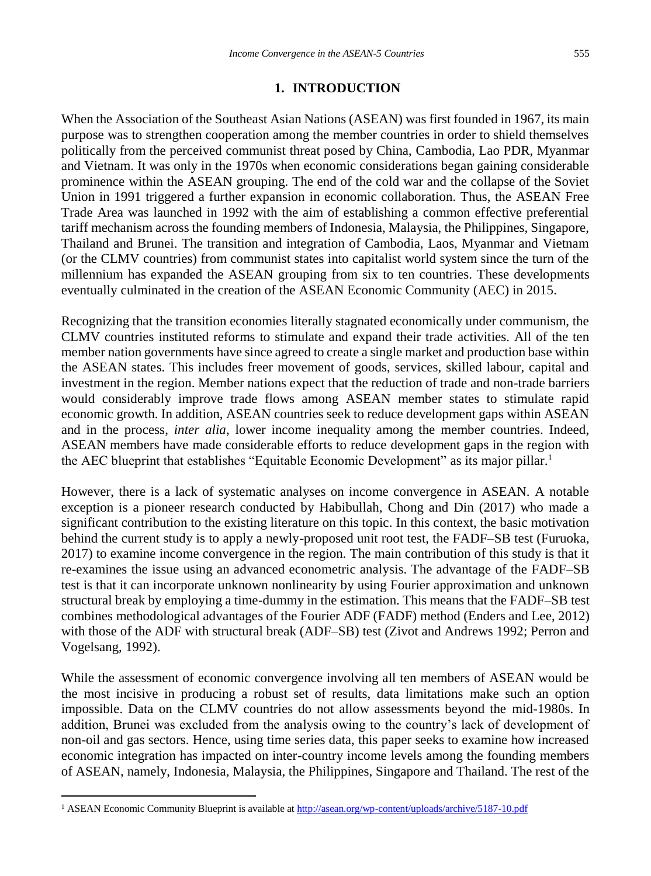### **1. INTRODUCTION**

When the Association of the Southeast Asian Nations (ASEAN) was first founded in 1967, its main purpose was to strengthen cooperation among the member countries in order to shield themselves politically from the perceived communist threat posed by China, Cambodia, Lao PDR, Myanmar and Vietnam. It was only in the 1970s when economic considerations began gaining considerable prominence within the ASEAN grouping. The end of the cold war and the collapse of the Soviet Union in 1991 triggered a further expansion in economic collaboration. Thus, the ASEAN Free Trade Area was launched in 1992 with the aim of establishing a common effective preferential tariff mechanism across the founding members of Indonesia, Malaysia, the Philippines, Singapore, Thailand and Brunei. The transition and integration of Cambodia, Laos, Myanmar and Vietnam (or the CLMV countries) from communist states into capitalist world system since the turn of the millennium has expanded the ASEAN grouping from six to ten countries. These developments eventually culminated in the creation of the ASEAN Economic Community (AEC) in 2015.

Recognizing that the transition economies literally stagnated economically under communism, the CLMV countries instituted reforms to stimulate and expand their trade activities. All of the ten member nation governments have since agreed to create a single market and production base within the ASEAN states. This includes freer movement of goods, services, skilled labour, capital and investment in the region. Member nations expect that the reduction of trade and non-trade barriers would considerably improve trade flows among ASEAN member states to stimulate rapid economic growth. In addition, ASEAN countries seek to reduce development gaps within ASEAN and in the process, *inter alia*, lower income inequality among the member countries. Indeed, ASEAN members have made considerable efforts to reduce development gaps in the region with the AEC blueprint that establishes "Equitable Economic Development" as its major pillar. $<sup>1</sup>$ </sup>

However, there is a lack of systematic analyses on income convergence in ASEAN. A notable exception is a pioneer research conducted by Habibullah, Chong and Din (2017) who made a significant contribution to the existing literature on this topic. In this context, the basic motivation behind the current study is to apply a newly-proposed unit root test, the FADF–SB test (Furuoka, 2017) to examine income convergence in the region. The main contribution of this study is that it re-examines the issue using an advanced econometric analysis. The advantage of the FADF–SB test is that it can incorporate unknown nonlinearity by using Fourier approximation and unknown structural break by employing a time-dummy in the estimation. This means that the FADF–SB test combines methodological advantages of the Fourier ADF (FADF) method (Enders and Lee, 2012) with those of the ADF with structural break (ADF–SB) test (Zivot and Andrews 1992; Perron and Vogelsang, 1992).

While the assessment of economic convergence involving all ten members of ASEAN would be the most incisive in producing a robust set of results, data limitations make such an option impossible. Data on the CLMV countries do not allow assessments beyond the mid-1980s. In addition, Brunei was excluded from the analysis owing to the country's lack of development of non-oil and gas sectors. Hence, using time series data, this paper seeks to examine how increased economic integration has impacted on inter-country income levels among the founding members of ASEAN, namely, Indonesia, Malaysia, the Philippines, Singapore and Thailand. The rest of the

 $\overline{a}$ 

<sup>1</sup> ASEAN Economic Community Blueprint is available a[t http://asean.org/wp-content/uploads/archive/5187-10.pdf](http://asean.org/wp-content/uploads/archive/5187-10.pdf)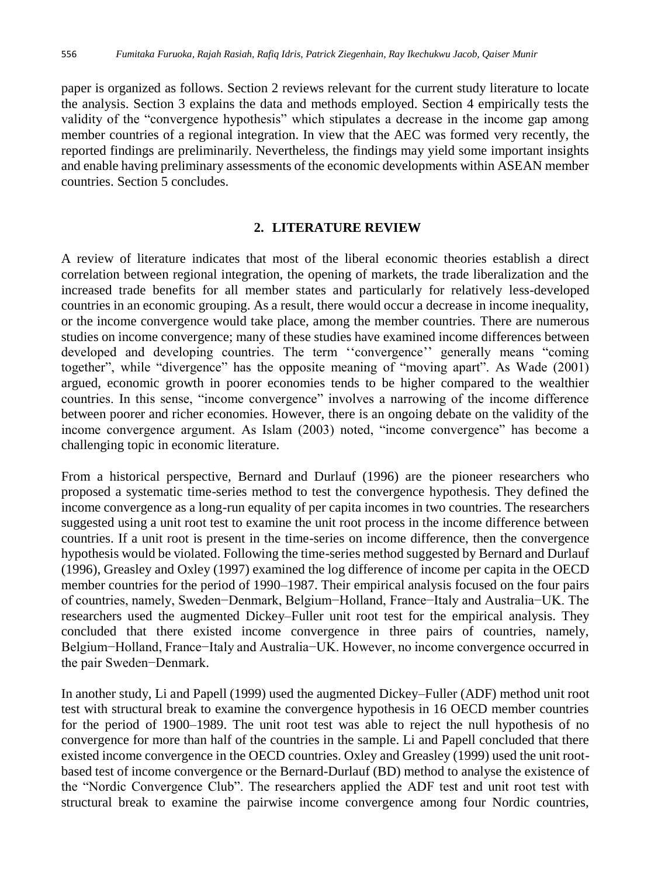paper is organized as follows. Section 2 reviews relevant for the current study literature to locate the analysis. Section 3 explains the data and methods employed. Section 4 empirically tests the validity of the "convergence hypothesis" which stipulates a decrease in the income gap among member countries of a regional integration. In view that the AEC was formed very recently, the reported findings are preliminarily. Nevertheless, the findings may yield some important insights and enable having preliminary assessments of the economic developments within ASEAN member countries. Section 5 concludes.

#### **2. LITERATURE REVIEW**

A review of literature indicates that most of the liberal economic theories establish a direct correlation between regional integration, the opening of markets, the trade liberalization and the increased trade benefits for all member states and particularly for relatively less-developed countries in an economic grouping. As a result, there would occur a decrease in income inequality, or the income convergence would take place, among the member countries. There are numerous studies on income convergence; many of these studies have examined income differences between developed and developing countries. The term ''convergence'' generally means "coming together", while "divergence" has the opposite meaning of "moving apart". As Wade (2001) argued, economic growth in poorer economies tends to be higher compared to the wealthier countries. In this sense, "income convergence" involves a narrowing of the income difference between poorer and richer economies. However, there is an ongoing debate on the validity of the income convergence argument. As Islam (2003) noted, "income convergence" has become a challenging topic in economic literature.

From a historical perspective, Bernard and Durlauf (1996) are the pioneer researchers who proposed a systematic time-series method to test the convergence hypothesis. They defined the income convergence as a long-run equality of per capita incomes in two countries. The researchers suggested using a unit root test to examine the unit root process in the income difference between countries. If a unit root is present in the time-series on income difference, then the convergence hypothesis would be violated. Following the time-series method suggested by Bernard and Durlauf (1996), Greasley and Oxley (1997) examined the log difference of income per capita in the OECD member countries for the period of 1990–1987. Their empirical analysis focused on the four pairs of countries, namely, Sweden−Denmark, Belgium−Holland, France−Italy and Australia−UK. The researchers used the augmented Dickey–Fuller unit root test for the empirical analysis. They concluded that there existed income convergence in three pairs of countries, namely, Belgium−Holland, France−Italy and Australia−UK. However, no income convergence occurred in the pair Sweden−Denmark.

In another study, Li and Papell (1999) used the augmented Dickey–Fuller (ADF) method unit root test with structural break to examine the convergence hypothesis in 16 OECD member countries for the period of 1900–1989. The unit root test was able to reject the null hypothesis of no convergence for more than half of the countries in the sample. Li and Papell concluded that there existed income convergence in the OECD countries. Oxley and Greasley (1999) used the unit rootbased test of income convergence or the Bernard-Durlauf (BD) method to analyse the existence of the "Nordic Convergence Club". The researchers applied the ADF test and unit root test with structural break to examine the pairwise income convergence among four Nordic countries,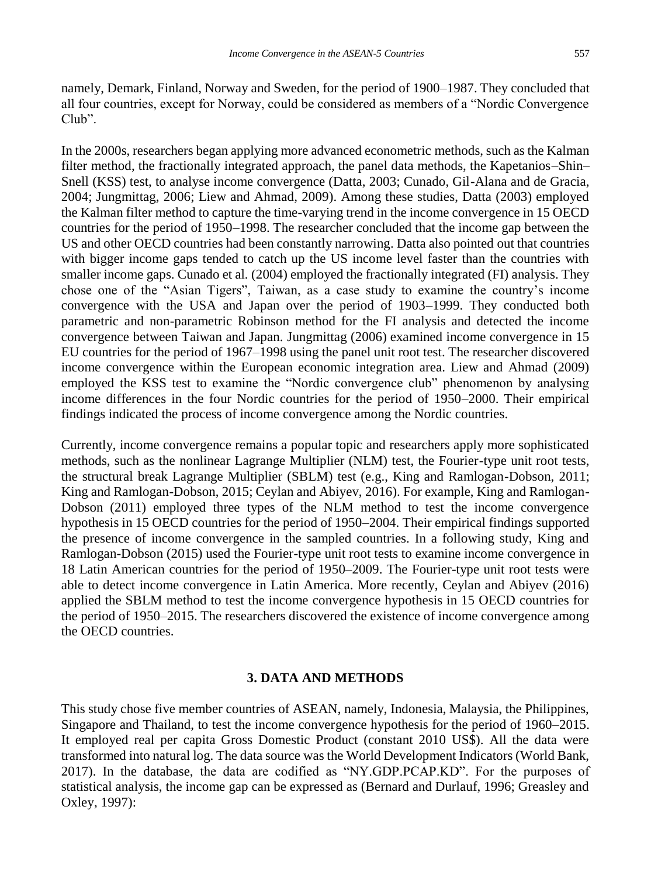namely, Demark, Finland, Norway and Sweden, for the period of 1900–1987. They concluded that all four countries, except for Norway, could be considered as members of a "Nordic Convergence Club".

In the 2000s, researchers began applying more advanced econometric methods, such as the Kalman filter method, the fractionally integrated approach, the panel data methods, the Kapetanios–Shin– Snell (KSS) test, to analyse income convergence (Datta, 2003; Cunado, Gil-Alana and de Gracia, 2004; Jungmittag, 2006; Liew and Ahmad, 2009). Among these studies, Datta (2003) employed the Kalman filter method to capture the time-varying trend in the income convergence in 15 OECD countries for the period of 1950–1998. The researcher concluded that the income gap between the US and other OECD countries had been constantly narrowing. Datta also pointed out that countries with bigger income gaps tended to catch up the US income level faster than the countries with smaller income gaps. Cunado et al*.* (2004) employed the fractionally integrated (FI) analysis. They chose one of the "Asian Tigers", Taiwan, as a case study to examine the country's income convergence with the USA and Japan over the period of 1903–1999. They conducted both parametric and non-parametric Robinson method for the FI analysis and detected the income convergence between Taiwan and Japan. Jungmittag (2006) examined income convergence in 15 EU countries for the period of 1967–1998 using the panel unit root test. The researcher discovered income convergence within the European economic integration area. Liew and Ahmad (2009) employed the KSS test to examine the "Nordic convergence club" phenomenon by analysing income differences in the four Nordic countries for the period of 1950–2000. Their empirical findings indicated the process of income convergence among the Nordic countries.

Currently, income convergence remains a popular topic and researchers apply more sophisticated methods, such as the nonlinear Lagrange Multiplier (NLM) test, the Fourier-type unit root tests, the structural break Lagrange Multiplier (SBLM) test (e.g., King and Ramlogan-Dobson, 2011; King and Ramlogan-Dobson, 2015; Ceylan and Abiyev, 2016). For example, King and Ramlogan-Dobson (2011) employed three types of the NLM method to test the income convergence hypothesis in 15 OECD countries for the period of 1950–2004. Their empirical findings supported the presence of income convergence in the sampled countries. In a following study, King and Ramlogan-Dobson (2015) used the Fourier-type unit root tests to examine income convergence in 18 Latin American countries for the period of 1950–2009. The Fourier-type unit root tests were able to detect income convergence in Latin America. More recently, Ceylan and Abiyev (2016) applied the SBLM method to test the income convergence hypothesis in 15 OECD countries for the period of 1950–2015. The researchers discovered the existence of income convergence among the OECD countries.

#### **3. DATA AND METHODS**

This study chose five member countries of ASEAN, namely, Indonesia, Malaysia, the Philippines, Singapore and Thailand, to test the income convergence hypothesis for the period of 1960–2015. It employed real per capita Gross Domestic Product (constant 2010 US\$). All the data were transformed into natural log. The data source was the World Development Indicators (World Bank, 2017). In the database, the data are codified as "NY.GDP.PCAP.KD". For the purposes of statistical analysis, the income gap can be expressed as (Bernard and Durlauf, 1996; Greasley and Oxley, 1997):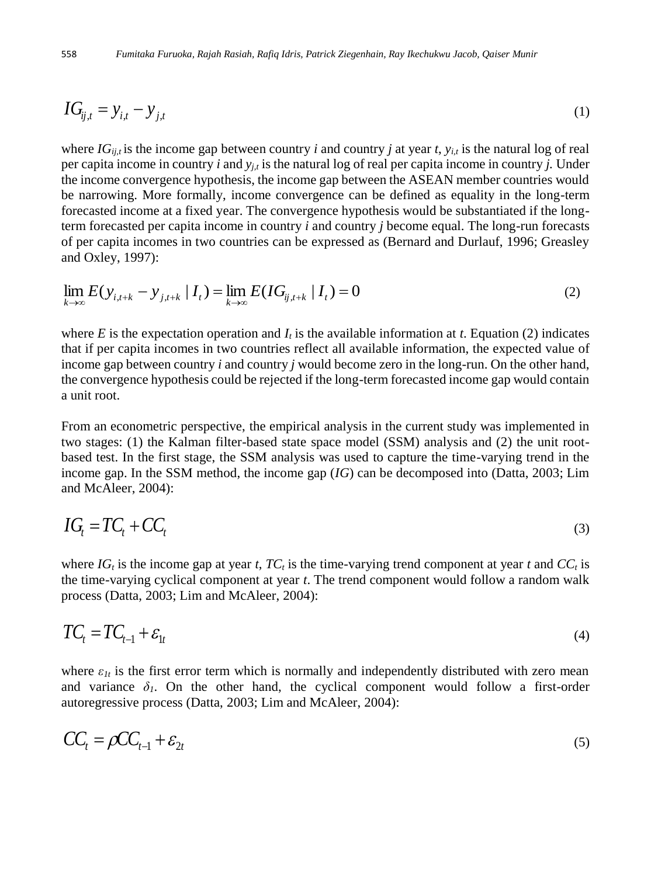$$
IG_{ij,t} = y_{i,t} - y_{j,t} \tag{1}
$$

where  $IG_{ii,t}$  is the income gap between country *i* and country *j* at year *t*,  $y_{i,t}$  is the natural log of real per capita income in country *i* and  $y_{i,t}$  is the natural log of real per capita income in country *j*. Under the income convergence hypothesis, the income gap between the ASEAN member countries would be narrowing. More formally, income convergence can be defined as equality in the long-term forecasted income at a fixed year. The convergence hypothesis would be substantiated if the longterm forecasted per capita income in country *i* and country *j* become equal. The long-run forecasts of per capita incomes in two countries can be expressed as (Bernard and Durlauf, 1996; Greasley and Oxley, 1997):

$$
\lim_{k \to \infty} E(y_{i,t+k} - y_{j,t+k} | I_t) = \lim_{k \to \infty} E(IG_{ij,t+k} | I_t) = 0
$$
\n(2)

where *E* is the expectation operation and  $I_t$  is the available information at *t*. Equation (2) indicates that if per capita incomes in two countries reflect all available information, the expected value of income gap between country *i* and country *j* would become zero in the long-run. On the other hand, the convergence hypothesis could be rejected if the long-term forecasted income gap would contain a unit root.

From an econometric perspective, the empirical analysis in the current study was implemented in two stages: (1) the Kalman filter-based state space model (SSM) analysis and (2) the unit rootbased test. In the first stage, the SSM analysis was used to capture the time-varying trend in the income gap. In the SSM method, the income gap (*IG*) can be decomposed into (Datta, 2003; Lim and McAleer, 2004):

$$
IG_t = TC_t + CC_t \tag{3}
$$

where  $IG_t$  is the income gap at year *t*,  $TC_t$  is the time-varying trend component at year *t* and  $CC_t$  is the time-varying cyclical component at year *t*. The trend component would follow a random walk process (Datta, 2003; Lim and McAleer, 2004):

$$
TC_t = TC_{t-1} + \varepsilon_{1t} \tag{4}
$$

where  $\varepsilon_{lt}$  is the first error term which is normally and independently distributed with zero mean and variance  $\delta_l$ . On the other hand, the cyclical component would follow a first-order autoregressive process (Datta, 2003; Lim and McAleer, 2004):

$$
CC_t = \rho CC_{t-1} + \varepsilon_{2t} \tag{5}
$$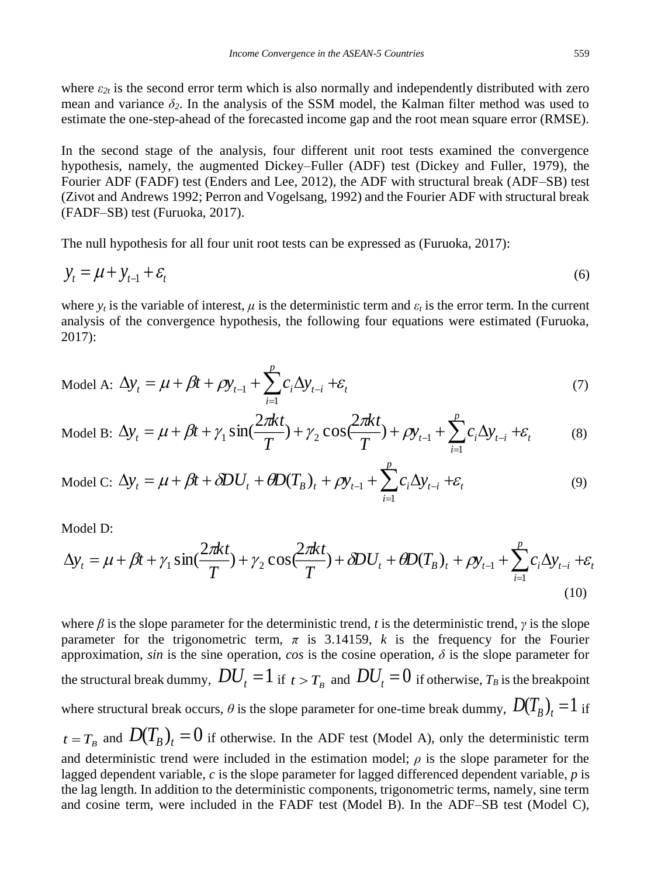where  $\varepsilon_{2t}$  is the second error term which is also normally and independently distributed with zero mean and variance  $\delta_2$ . In the analysis of the SSM model, the Kalman filter method was used to estimate the one-step-ahead of the forecasted income gap and the root mean square error (RMSE).

In the second stage of the analysis, four different unit root tests examined the convergence hypothesis, namely, the augmented Dickey–Fuller (ADF) test (Dickey and Fuller, 1979), the Fourier ADF (FADF) test (Enders and Lee, 2012), the ADF with structural break (ADF–SB) test (Zivot and Andrews 1992; Perron and Vogelsang, 1992) and the Fourier ADF with structural break (FADF–SB) test (Furuoka, 2017).

The null hypothesis for all four unit root tests can be expressed as (Furuoka, 2017):

$$
y_t = \mu + y_{t-1} + \varepsilon_t \tag{6}
$$

where  $y_t$  is the variable of interest,  $\mu$  is the deterministic term and  $\varepsilon_t$  is the error term. In the current analysis of the convergence hypothesis, the following four equations were estimated (Furuoka, 2017):

$$
\text{Model A: } \Delta y_t = \mu + \beta t + \rho y_{t-1} + \sum_{i=1}^p c_i \Delta y_{t-i} + \varepsilon_t \tag{7}
$$

Model B: 
$$
\Delta y_t = \mu + \beta t + \gamma_1 \sin(\frac{2\pi kt}{T}) + \gamma_2 \cos(\frac{2\pi kt}{T}) + \rho y_{t-1} + \sum_{i=1}^p c_i \Delta y_{t-i} + \varepsilon_t
$$
 (8)

Model C: 
$$
\Delta y_t = \mu + \beta t + \delta D U_t + \theta D(T_B)_t + \rho y_{t-1} + \sum_{i=1}^p c_i \Delta y_{t-i} + \varepsilon_t
$$
 (9)

Model D:

$$
\Delta y_t = \mu + \beta t + \gamma_1 \sin(\frac{2\pi kt}{T}) + \gamma_2 \cos(\frac{2\pi kt}{T}) + \delta D U_t + \theta D(T_B)_t + \rho y_{t-1} + \sum_{i=1}^p c_i \Delta y_{t-i} + \varepsilon_t
$$
\n(10)

where  $\beta$  is the slope parameter for the deterministic trend, *t* is the deterministic trend, *γ* is the slope parameter for the trigonometric term, *π* is 3.14159, *k* is the frequency for the Fourier approximation, *sin* is the sine operation, *cos* is the cosine operation,  $\delta$  is the slope parameter for the structural break dummy,  $DU_{t} = 1$  if  $_{t>T_{B}}$  and  $DU_{t} = 0$  if otherwise,  $T_{B}$  is the breakpoint where structural break occurs,  $\theta$  is the slope parameter for one-time break dummy,  $\left.D(T_B^{}\right)_t = l$  if  $t = T_B$  and  $D(T_B)_t = 0$  if otherwise. In the ADF test (Model A), only the deterministic term and deterministic trend were included in the estimation model;  $\rho$  is the slope parameter for the lagged dependent variable, *c* is the slope parameter for lagged differenced dependent variable, *p* is the lag length. In addition to the deterministic components, trigonometric terms, namely, sine term and cosine term, were included in the FADF test (Model B). In the ADF–SB test (Model C),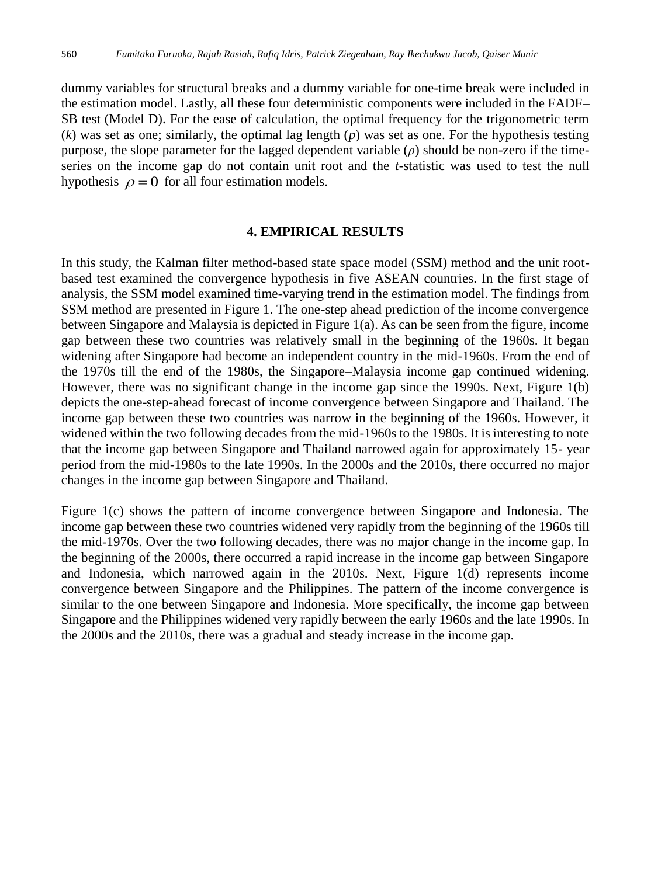dummy variables for structural breaks and a dummy variable for one-time break were included in the estimation model. Lastly, all these four deterministic components were included in the FADF– SB test (Model D). For the ease of calculation, the optimal frequency for the trigonometric term (*k*) was set as one; similarly, the optimal lag length (*p*) was set as one. For the hypothesis testing purpose, the slope parameter for the lagged dependent variable  $(\rho)$  should be non-zero if the timeseries on the income gap do not contain unit root and the *t*-statistic was used to test the null hypothesis  $\rho = 0$  for all four estimation models.

#### **4. EMPIRICAL RESULTS**

In this study, the Kalman filter method-based state space model (SSM) method and the unit rootbased test examined the convergence hypothesis in five ASEAN countries. In the first stage of analysis, the SSM model examined time-varying trend in the estimation model. The findings from SSM method are presented in Figure 1. The one-step ahead prediction of the income convergence between Singapore and Malaysia is depicted in Figure 1(a). As can be seen from the figure, income gap between these two countries was relatively small in the beginning of the 1960s. It began widening after Singapore had become an independent country in the mid-1960s. From the end of the 1970s till the end of the 1980s, the Singapore–Malaysia income gap continued widening. However, there was no significant change in the income gap since the 1990s. Next, Figure 1(b) depicts the one-step-ahead forecast of income convergence between Singapore and Thailand. The income gap between these two countries was narrow in the beginning of the 1960s. However, it widened within the two following decades from the mid-1960s to the 1980s. It is interesting to note that the income gap between Singapore and Thailand narrowed again for approximately 15- year period from the mid-1980s to the late 1990s. In the 2000s and the 2010s, there occurred no major changes in the income gap between Singapore and Thailand.

Figure 1(c) shows the pattern of income convergence between Singapore and Indonesia. The income gap between these two countries widened very rapidly from the beginning of the 1960s till the mid-1970s. Over the two following decades, there was no major change in the income gap. In the beginning of the 2000s, there occurred a rapid increase in the income gap between Singapore and Indonesia, which narrowed again in the 2010s. Next, Figure 1(d) represents income convergence between Singapore and the Philippines. The pattern of the income convergence is similar to the one between Singapore and Indonesia. More specifically, the income gap between Singapore and the Philippines widened very rapidly between the early 1960s and the late 1990s. In the 2000s and the 2010s, there was a gradual and steady increase in the income gap.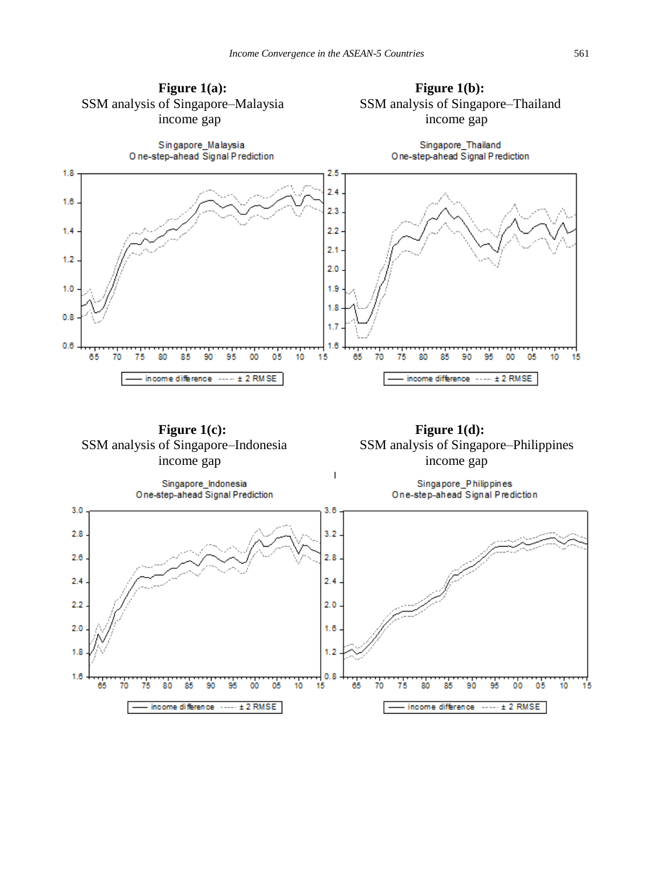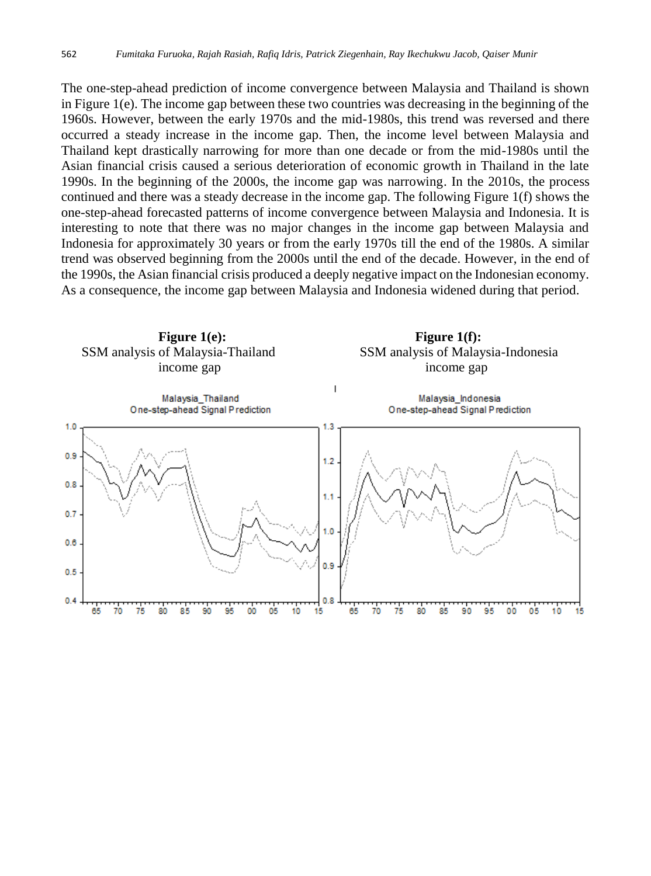The one-step-ahead prediction of income convergence between Malaysia and Thailand is shown in Figure 1(e). The income gap between these two countries was decreasing in the beginning of the 1960s. However, between the early 1970s and the mid-1980s, this trend was reversed and there occurred a steady increase in the income gap. Then, the income level between Malaysia and Thailand kept drastically narrowing for more than one decade or from the mid-1980s until the Asian financial crisis caused a serious deterioration of economic growth in Thailand in the late 1990s. In the beginning of the 2000s, the income gap was narrowing. In the 2010s, the process continued and there was a steady decrease in the income gap. The following Figure 1(f) shows the one-step-ahead forecasted patterns of income convergence between Malaysia and Indonesia. It is interesting to note that there was no major changes in the income gap between Malaysia and Indonesia for approximately 30 years or from the early 1970s till the end of the 1980s. A similar trend was observed beginning from the 2000s until the end of the decade. However, in the end of the 1990s, the Asian financial crisis produced a deeply negative impact on the Indonesian economy. As a consequence, the income gap between Malaysia and Indonesia widened during that period.

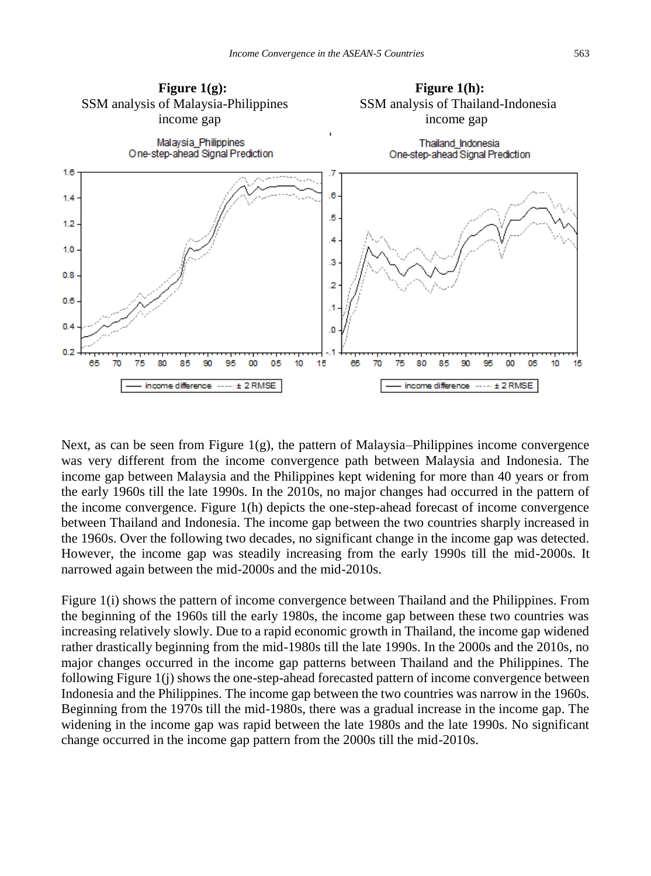

Next, as can be seen from Figure  $1(g)$ , the pattern of Malaysia–Philippines income convergence was very different from the income convergence path between Malaysia and Indonesia. The income gap between Malaysia and the Philippines kept widening for more than 40 years or from the early 1960s till the late 1990s. In the 2010s, no major changes had occurred in the pattern of the income convergence. Figure 1(h) depicts the one-step-ahead forecast of income convergence between Thailand and Indonesia. The income gap between the two countries sharply increased in the 1960s. Over the following two decades, no significant change in the income gap was detected. However, the income gap was steadily increasing from the early 1990s till the mid-2000s. It narrowed again between the mid-2000s and the mid-2010s.

Figure 1(i) shows the pattern of income convergence between Thailand and the Philippines. From the beginning of the 1960s till the early 1980s, the income gap between these two countries was increasing relatively slowly. Due to a rapid economic growth in Thailand, the income gap widened rather drastically beginning from the mid-1980s till the late 1990s. In the 2000s and the 2010s, no major changes occurred in the income gap patterns between Thailand and the Philippines. The following Figure 1(j) shows the one-step-ahead forecasted pattern of income convergence between Indonesia and the Philippines. The income gap between the two countries was narrow in the 1960s. Beginning from the 1970s till the mid-1980s, there was a gradual increase in the income gap. The widening in the income gap was rapid between the late 1980s and the late 1990s. No significant change occurred in the income gap pattern from the 2000s till the mid-2010s.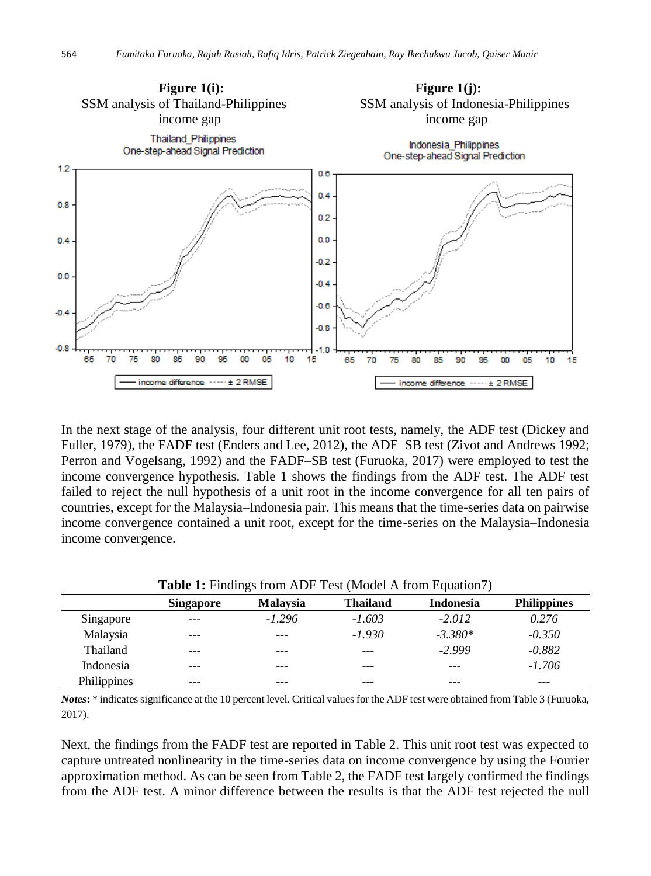

In the next stage of the analysis, four different unit root tests, namely, the ADF test (Dickey and Fuller, 1979), the FADF test (Enders and Lee, 2012), the ADF–SB test (Zivot and Andrews 1992; Perron and Vogelsang, 1992) and the FADF–SB test (Furuoka, 2017) were employed to test the income convergence hypothesis. Table 1 shows the findings from the ADF test. The ADF test failed to reject the null hypothesis of a unit root in the income convergence for all ten pairs of countries, except for the Malaysia–Indonesia pair. This means that the time-series data on pairwise income convergence contained a unit root, except for the time-series on the Malaysia–Indonesia income convergence.

|             | <b>Table 1:</b> Finalings from ADF Test (Model A from Equation /) |                 |                 |           |                    |
|-------------|-------------------------------------------------------------------|-----------------|-----------------|-----------|--------------------|
|             | Singapore                                                         | <b>Malaysia</b> | <b>Thailand</b> | Indonesia | <b>Philippines</b> |
| Singapore   | $---$                                                             | $-1.296$        | $-1.603$        | $-2.012$  | 0.276              |
| Malaysia    | $---$                                                             |                 | $-1.930$        | $-3.380*$ | $-0.350$           |
| Thailand    | $---$                                                             | ---             |                 | $-2.999$  | $-0.882$           |
| Indonesia   | $---$                                                             | ---             |                 |           | $-1.706$           |
| Philippines |                                                                   |                 |                 |           |                    |

**Table 1:** Findings from ADF Test (Model A from Equation7)

*Notes***:** \* indicates significance at the 10 percent level. Critical values for the ADF test were obtained from Table 3 (Furuoka, 2017).

Next, the findings from the FADF test are reported in Table 2. This unit root test was expected to capture untreated nonlinearity in the time-series data on income convergence by using the Fourier approximation method. As can be seen from Table 2, the FADF test largely confirmed the findings from the ADF test. A minor difference between the results is that the ADF test rejected the null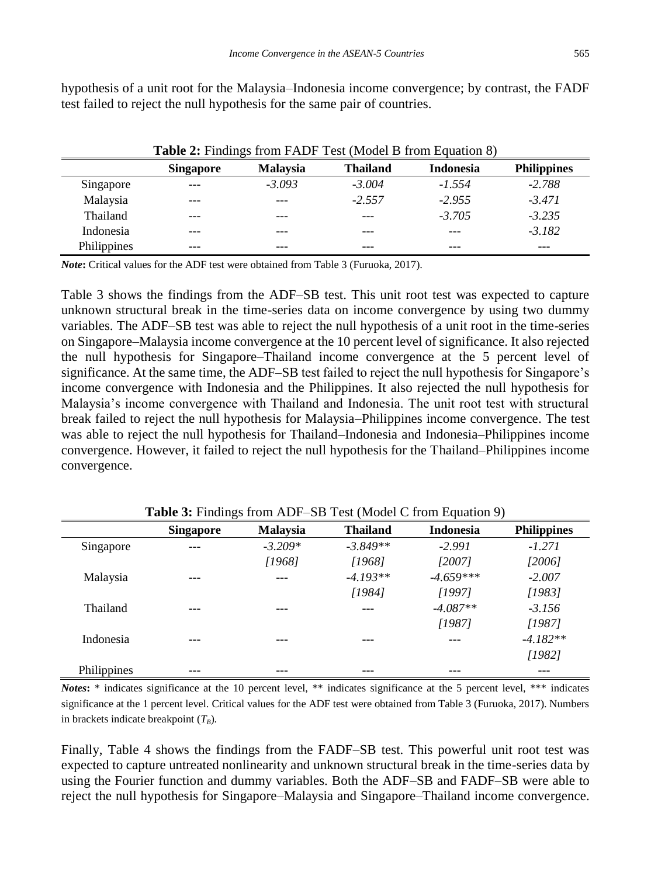| × |
|---|

| <b>Table 2:</b> Findings from FADF Test (Model B from Equation 8) |           |                 |                 |                  |                    |  |
|-------------------------------------------------------------------|-----------|-----------------|-----------------|------------------|--------------------|--|
|                                                                   | Singapore | <b>Malaysia</b> | <b>Thailand</b> | <b>Indonesia</b> | <b>Philippines</b> |  |
| Singapore                                                         | $- - -$   | $-3.093$        | $-3.004$        | $-1.554$         | $-2.788$           |  |
| Malaysia                                                          | $---$     |                 | $-2.557$        | $-2.955$         | $-3.471$           |  |
| Thailand                                                          | ---       | ---             | ---             | $-3.705$         | $-3.235$           |  |
| Indonesia                                                         | $---$     |                 |                 |                  | $-3.182$           |  |
| Philippines                                                       | ---       | ---             | ---             | ---              | ---                |  |

hypothesis of a unit root for the Malaysia–Indonesia income convergence; by contrast, the FADF test failed to reject the null hypothesis for the same pair of countries.

*Note***:** Critical values for the ADF test were obtained from Table 3 (Furuoka, 2017).

Table 3 shows the findings from the ADF–SB test. This unit root test was expected to capture unknown structural break in the time-series data on income convergence by using two dummy variables. The ADF–SB test was able to reject the null hypothesis of a unit root in the time-series on Singapore–Malaysia income convergence at the 10 percent level of significance. It also rejected the null hypothesis for Singapore–Thailand income convergence at the 5 percent level of significance. At the same time, the ADF–SB test failed to reject the null hypothesis for Singapore's income convergence with Indonesia and the Philippines. It also rejected the null hypothesis for Malaysia's income convergence with Thailand and Indonesia. The unit root test with structural break failed to reject the null hypothesis for Malaysia–Philippines income convergence. The test was able to reject the null hypothesis for Thailand–Indonesia and Indonesia–Philippines income convergence. However, it failed to reject the null hypothesis for the Thailand–Philippines income convergence.

|             | <b>Singapore</b> | Malaysia  | <b>Thailand</b> | <b>Indonesia</b> | <b>Philippines</b> |
|-------------|------------------|-----------|-----------------|------------------|--------------------|
| Singapore   | $---$            | $-3.209*$ | $-3.849**$      | $-2.991$         | $-1.271$           |
|             |                  | [1968]    | [1968]          | [2007]           | [2006]             |
| Malaysia    | $---$            |           | $-4.193**$      | $-4.659***$      | $-2.007$           |
|             |                  |           | [1984]          | [1997]           | [1983]             |
| Thailand    | ---              | ---       |                 | $-4.087**$       | $-3.156$           |
|             |                  |           |                 | [1987]           | [1987]             |
| Indonesia   | ---              | ---       | ---             | ---              | $-4.182**$         |
|             |                  |           |                 |                  | [1982]             |
| Philippines | ---              | ---       | ---             |                  | ---                |

**Table 3:** Findings from ADF–SB Test (Model C from Equation 9)

*Notes***:** \* indicates significance at the 10 percent level, \*\* indicates significance at the 5 percent level, \*\*\* indicates significance at the 1 percent level. Critical values for the ADF test were obtained from Table 3 (Furuoka, 2017). Numbers in brackets indicate breakpoint  $(T_B)$ .

Finally, Table 4 shows the findings from the FADF–SB test. This powerful unit root test was expected to capture untreated nonlinearity and unknown structural break in the time-series data by using the Fourier function and dummy variables. Both the ADF–SB and FADF–SB were able to reject the null hypothesis for Singapore–Malaysia and Singapore–Thailand income convergence.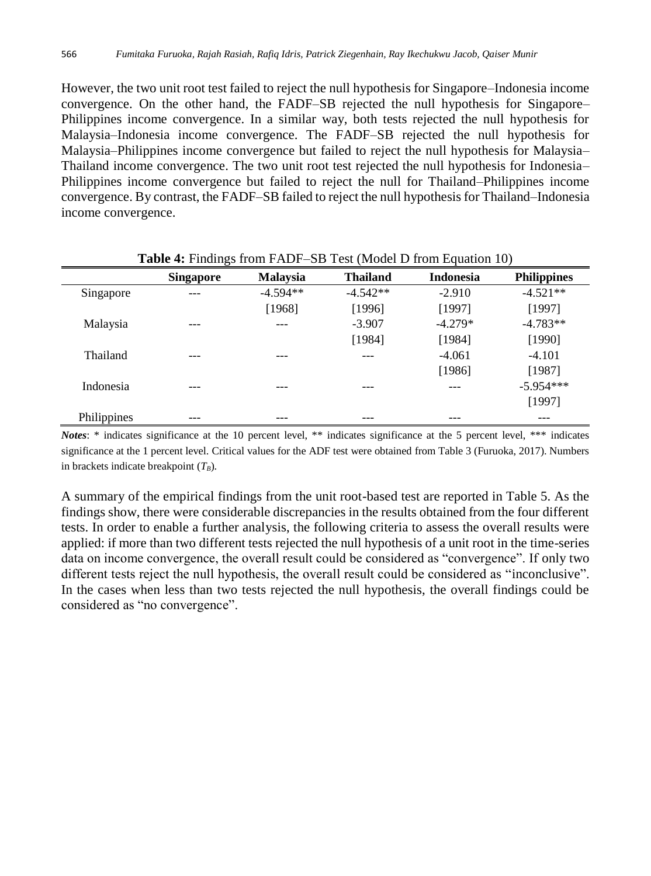However, the two unit root test failed to reject the null hypothesis for Singapore–Indonesia income convergence. On the other hand, the FADF–SB rejected the null hypothesis for Singapore– Philippines income convergence. In a similar way, both tests rejected the null hypothesis for Malaysia–Indonesia income convergence. The FADF–SB rejected the null hypothesis for Malaysia–Philippines income convergence but failed to reject the null hypothesis for Malaysia– Thailand income convergence. The two unit root test rejected the null hypothesis for Indonesia– Philippines income convergence but failed to reject the null for Thailand–Philippines income convergence. By contrast, the FADF–SB failed to reject the null hypothesis for Thailand–Indonesia income convergence.

|             | $\tilde{\phantom{a}}$ |                 | . .             |                  |                    |
|-------------|-----------------------|-----------------|-----------------|------------------|--------------------|
|             | <b>Singapore</b>      | <b>Malaysia</b> | <b>Thailand</b> | <b>Indonesia</b> | <b>Philippines</b> |
| Singapore   | ---                   | $-4.594**$      | $-4.542**$      | $-2.910$         | $-4.521**$         |
|             |                       | [1968]          | [1996]          | [1997]           | [1997]             |
| Malaysia    | ---                   | ---             | $-3.907$        | $-4.279*$        | $-4.783**$         |
|             |                       |                 | [1984]          | [1984]           | [1990]             |
| Thailand    | ---                   | ---             |                 | $-4.061$         | $-4.101$           |
|             |                       |                 |                 | [1986]           | [1987]             |
| Indonesia   | ---                   | ---             | ---             | ---              | $-5.954***$        |
|             |                       |                 |                 |                  | [1997]             |
| Philippines |                       |                 |                 |                  |                    |

#### **Table 4:** Findings from FADF–SB Test (Model D from Equation 10)

*Notes*: \* indicates significance at the 10 percent level, \*\* indicates significance at the 5 percent level, \*\*\* indicates significance at the 1 percent level. Critical values for the ADF test were obtained from Table 3 (Furuoka, 2017). Numbers in brackets indicate breakpoint (*TB*).

A summary of the empirical findings from the unit root-based test are reported in Table 5. As the findings show, there were considerable discrepancies in the results obtained from the four different tests. In order to enable a further analysis, the following criteria to assess the overall results were applied: if more than two different tests rejected the null hypothesis of a unit root in the time-series data on income convergence, the overall result could be considered as "convergence". If only two different tests reject the null hypothesis, the overall result could be considered as "inconclusive". In the cases when less than two tests rejected the null hypothesis, the overall findings could be considered as "no convergence".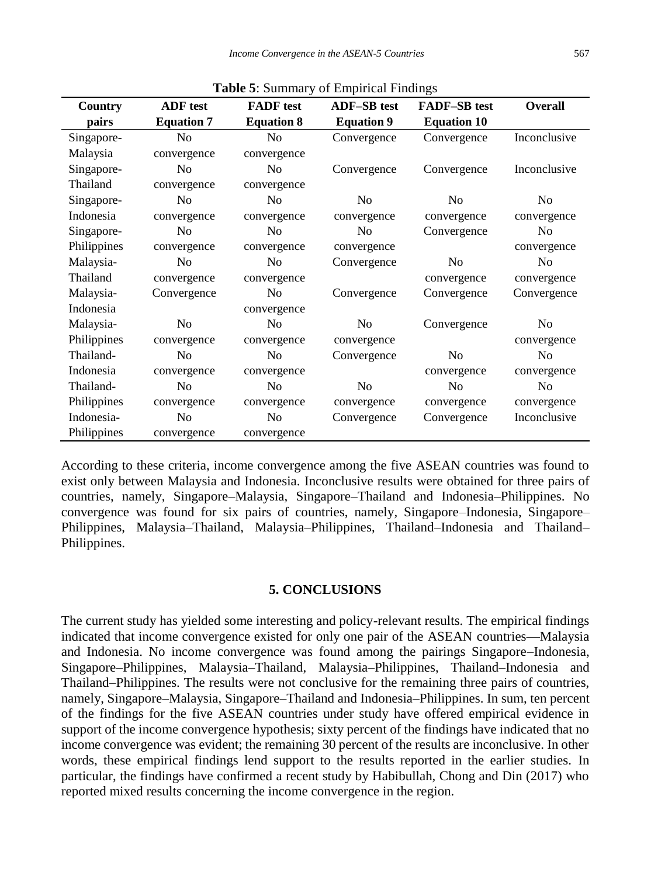| <b>Tuble</b> $\mathcal{L}$ . Building $\mathcal{L}$ of Empirical I multipo |                   |                   |                    |                     |                |
|----------------------------------------------------------------------------|-------------------|-------------------|--------------------|---------------------|----------------|
| Country                                                                    | <b>ADF</b> test   | <b>FADF</b> test  | <b>ADF-SB</b> test | <b>FADF-SB</b> test | <b>Overall</b> |
| pairs                                                                      | <b>Equation 7</b> | <b>Equation 8</b> | <b>Equation 9</b>  | <b>Equation 10</b>  |                |
| Singapore-                                                                 | N <sub>o</sub>    | N <sub>0</sub>    | Convergence        | Convergence         | Inconclusive   |
| Malaysia                                                                   | convergence       | convergence       |                    |                     |                |
| Singapore-                                                                 | N <sub>0</sub>    | N <sub>0</sub>    | Convergence        | Convergence         | Inconclusive   |
| Thailand                                                                   | convergence       | convergence       |                    |                     |                |
| Singapore-                                                                 | N <sub>0</sub>    | N <sub>0</sub>    | N <sub>0</sub>     | N <sub>o</sub>      | N <sub>0</sub> |
| Indonesia                                                                  | convergence       | convergence       | convergence        | convergence         | convergence    |
| Singapore-                                                                 | N <sub>o</sub>    | N <sub>0</sub>    | N <sub>0</sub>     | Convergence         | N <sub>o</sub> |
| Philippines                                                                | convergence       | convergence       | convergence        |                     | convergence    |
| Malaysia-                                                                  | N <sub>0</sub>    | N <sub>0</sub>    | Convergence        | N <sub>0</sub>      | N <sub>0</sub> |
| Thailand                                                                   | convergence       | convergence       |                    | convergence         | convergence    |
| Malaysia-                                                                  | Convergence       | N <sub>0</sub>    | Convergence        | Convergence         | Convergence    |
| Indonesia                                                                  |                   | convergence       |                    |                     |                |
| Malaysia-                                                                  | N <sub>o</sub>    | No                | N <sub>0</sub>     | Convergence         | N <sub>o</sub> |
| Philippines                                                                | convergence       | convergence       | convergence        |                     | convergence    |
| Thailand-                                                                  | N <sub>0</sub>    | N <sub>0</sub>    | Convergence        | N <sub>0</sub>      | N <sub>0</sub> |
| Indonesia                                                                  | convergence       | convergence       |                    | convergence         | convergence    |
| Thailand-                                                                  | N <sub>0</sub>    | N <sub>0</sub>    | N <sub>0</sub>     | N <sub>o</sub>      | No             |
| Philippines                                                                | convergence       | convergence       | convergence        | convergence         | convergence    |
| Indonesia-                                                                 | N <sub>o</sub>    | N <sub>0</sub>    | Convergence        | Convergence         | Inconclusive   |
| Philippines                                                                | convergence       | convergence       |                    |                     |                |

**Table 5**: Summary of Empirical Findings

According to these criteria, income convergence among the five ASEAN countries was found to exist only between Malaysia and Indonesia. Inconclusive results were obtained for three pairs of countries, namely, Singapore–Malaysia, Singapore–Thailand and Indonesia–Philippines. No convergence was found for six pairs of countries, namely, Singapore–Indonesia, Singapore– Philippines, Malaysia–Thailand, Malaysia–Philippines, Thailand–Indonesia and Thailand– Philippines.

#### **5. CONCLUSIONS**

The current study has yielded some interesting and policy-relevant results. The empirical findings indicated that income convergence existed for only one pair of the ASEAN countries—Malaysia and Indonesia. No income convergence was found among the pairings Singapore–Indonesia, Singapore–Philippines, Malaysia–Thailand, Malaysia–Philippines, Thailand–Indonesia and Thailand–Philippines. The results were not conclusive for the remaining three pairs of countries, namely, Singapore–Malaysia, Singapore–Thailand and Indonesia–Philippines. In sum, ten percent of the findings for the five ASEAN countries under study have offered empirical evidence in support of the income convergence hypothesis; sixty percent of the findings have indicated that no income convergence was evident; the remaining 30 percent of the results are inconclusive. In other words, these empirical findings lend support to the results reported in the earlier studies. In particular, the findings have confirmed a recent study by Habibullah, Chong and Din (2017) who reported mixed results concerning the income convergence in the region.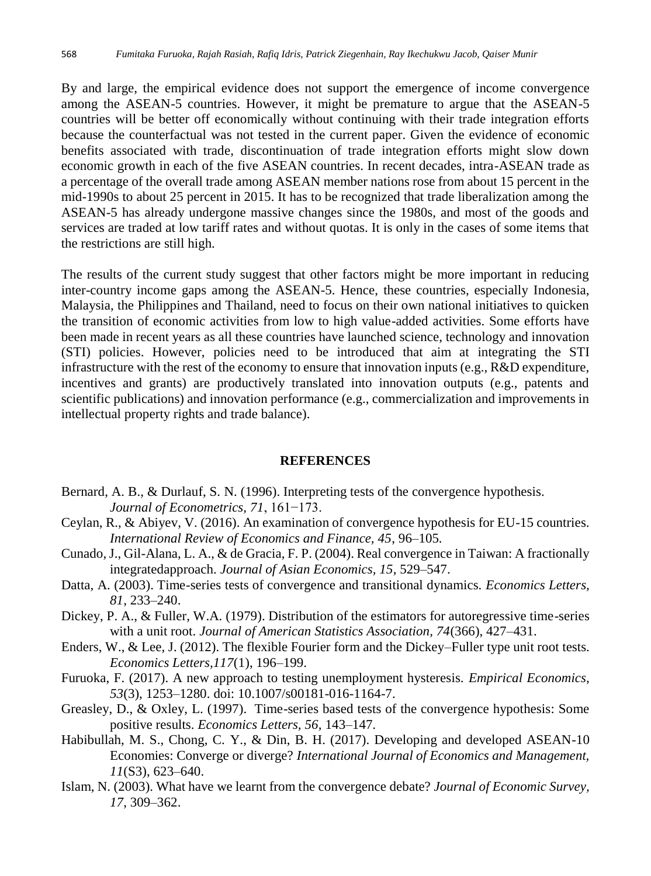By and large, the empirical evidence does not support the emergence of income convergence among the ASEAN-5 countries. However, it might be premature to argue that the ASEAN-5 countries will be better off economically without continuing with their trade integration efforts because the counterfactual was not tested in the current paper. Given the evidence of economic benefits associated with trade, discontinuation of trade integration efforts might slow down economic growth in each of the five ASEAN countries. In recent decades, intra-ASEAN trade as a percentage of the overall trade among ASEAN member nations rose from about 15 percent in the mid-1990s to about 25 percent in 2015. It has to be recognized that trade liberalization among the ASEAN-5 has already undergone massive changes since the 1980s, and most of the goods and services are traded at low tariff rates and without quotas. It is only in the cases of some items that the restrictions are still high.

The results of the current study suggest that other factors might be more important in reducing inter-country income gaps among the ASEAN-5. Hence, these countries, especially Indonesia, Malaysia, the Philippines and Thailand, need to focus on their own national initiatives to quicken the transition of economic activities from low to high value-added activities. Some efforts have been made in recent years as all these countries have launched science, technology and innovation (STI) policies. However, policies need to be introduced that aim at integrating the STI infrastructure with the rest of the economy to ensure that innovation inputs (e.g., R&D expenditure, incentives and grants) are productively translated into innovation outputs (e.g., patents and scientific publications) and innovation performance (e.g., commercialization and improvements in intellectual property rights and trade balance).

#### **REFERENCES**

- Bernard, A. B., & Durlauf, S. N. (1996). Interpreting tests of the convergence hypothesis. *Journal of Econometrics, 71*, 161−173.
- Ceylan, R., & Abiyev, V. (2016). An examination of convergence hypothesis for EU-15 countries. *International Review of Economics and Finance, 45*, 96–105.
- Cunado, J., Gil-Alana, L. A., & de Gracia, F. P. (2004). Real convergence in Taiwan: A fractionally integratedapproach. *Journal of Asian Economics, 15*, 529–547.
- Datta, A. (2003). Time-series tests of convergence and transitional dynamics. *Economics Letters, 81*, 233–240.
- Dickey, P. A., & Fuller, W.A. (1979). Distribution of the estimators for autoregressive time-series with a unit root. *Journal of American Statistics Association, 74*(366), 427–431.
- Enders, W., & Lee, J. (2012). The flexible Fourier form and the Dickey–Fuller type unit root tests. *Economics Letters,117*(1), 196–199.
- Furuoka, F. (2017). A new approach to testing unemployment hysteresis. *Empirical Economics, 53*(3), 1253–1280. doi: 10.1007/s00181-016-1164-7.
- Greasley, D., & Oxley, L. (1997). Time-series based tests of the convergence hypothesis: Some positive results. *Economics Letters, 56,* 143–147.
- Habibullah, M. S., Chong, C. Y., & Din, B. H. (2017). Developing and developed ASEAN-10 Economies: Converge or diverge? *International Journal of Economics and Management, 11*(S3), 623–640.
- Islam, N. (2003). What have we learnt from the convergence debate? *Journal of Economic Survey, 17*, 309–362.